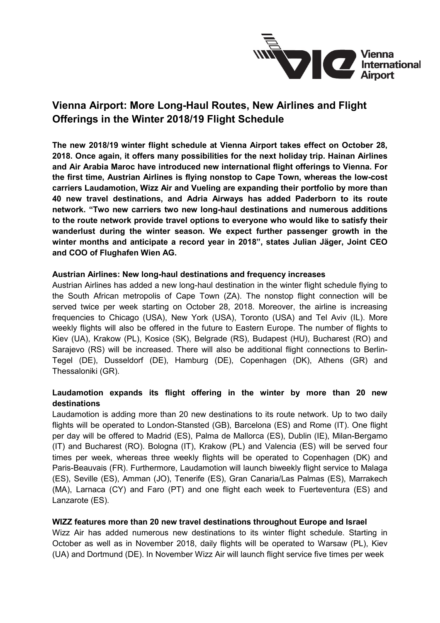

# **Vienna Airport: More Long-Haul Routes, New Airlines and Flight Offerings in the Winter 2018/19 Flight Schedule**

**The new 2018/19 winter flight schedule at Vienna Airport takes effect on October 28, 2018. Once again, it offers many possibilities for the next holiday trip. Hainan Airlines and Air Arabia Maroc have introduced new international flight offerings to Vienna. For the first time, Austrian Airlines is flying nonstop to Cape Town, whereas the low-cost carriers Laudamotion, Wizz Air and Vueling are expanding their portfolio by more than 40 new travel destinations, and Adria Airways has added Paderborn to its route network. "Two new carriers two new long-haul destinations and numerous additions to the route network provide travel options to everyone who would like to satisfy their wanderlust during the winter season. We expect further passenger growth in the winter months and anticipate a record year in 2018", states Julian Jäger, Joint CEO and COO of Flughafen Wien AG.** 

### **Austrian Airlines: New long-haul destinations and frequency increases**

Austrian Airlines has added a new long-haul destination in the winter flight schedule flying to the South African metropolis of Cape Town (ZA). The nonstop flight connection will be served twice per week starting on October 28, 2018. Moreover, the airline is increasing frequencies to Chicago (USA), New York (USA), Toronto (USA) and Tel Aviv (IL). More weekly flights will also be offered in the future to Eastern Europe. The number of flights to Kiev (UA), Krakow (PL), Kosice (SK), Belgrade (RS), Budapest (HU), Bucharest (RO) and Sarajevo (RS) will be increased. There will also be additional flight connections to Berlin-Tegel (DE), Dusseldorf (DE), Hamburg (DE), Copenhagen (DK), Athens (GR) and Thessaloniki (GR).

## **Laudamotion expands its flight offering in the winter by more than 20 new destinations**

Laudamotion is adding more than 20 new destinations to its route network. Up to two daily flights will be operated to London-Stansted (GB), Barcelona (ES) and Rome (IT). One flight per day will be offered to Madrid (ES), Palma de Mallorca (ES), Dublin (IE), Milan-Bergamo (IT) and Bucharest (RO). Bologna (IT), Krakow (PL) and Valencia (ES) will be served four times per week, whereas three weekly flights will be operated to Copenhagen (DK) and Paris-Beauvais (FR). Furthermore, Laudamotion will launch biweekly flight service to Malaga (ES), Seville (ES), Amman (JO), Tenerife (ES), Gran Canaria/Las Palmas (ES), Marrakech (MA), Larnaca (CY) and Faro (PT) and one flight each week to Fuerteventura (ES) and Lanzarote (ES).

## **WIZZ features more than 20 new travel destinations throughout Europe and Israel**

Wizz Air has added numerous new destinations to its winter flight schedule. Starting in October as well as in November 2018, daily flights will be operated to Warsaw (PL), Kiev (UA) and Dortmund (DE). In November Wizz Air will launch flight service five times per week